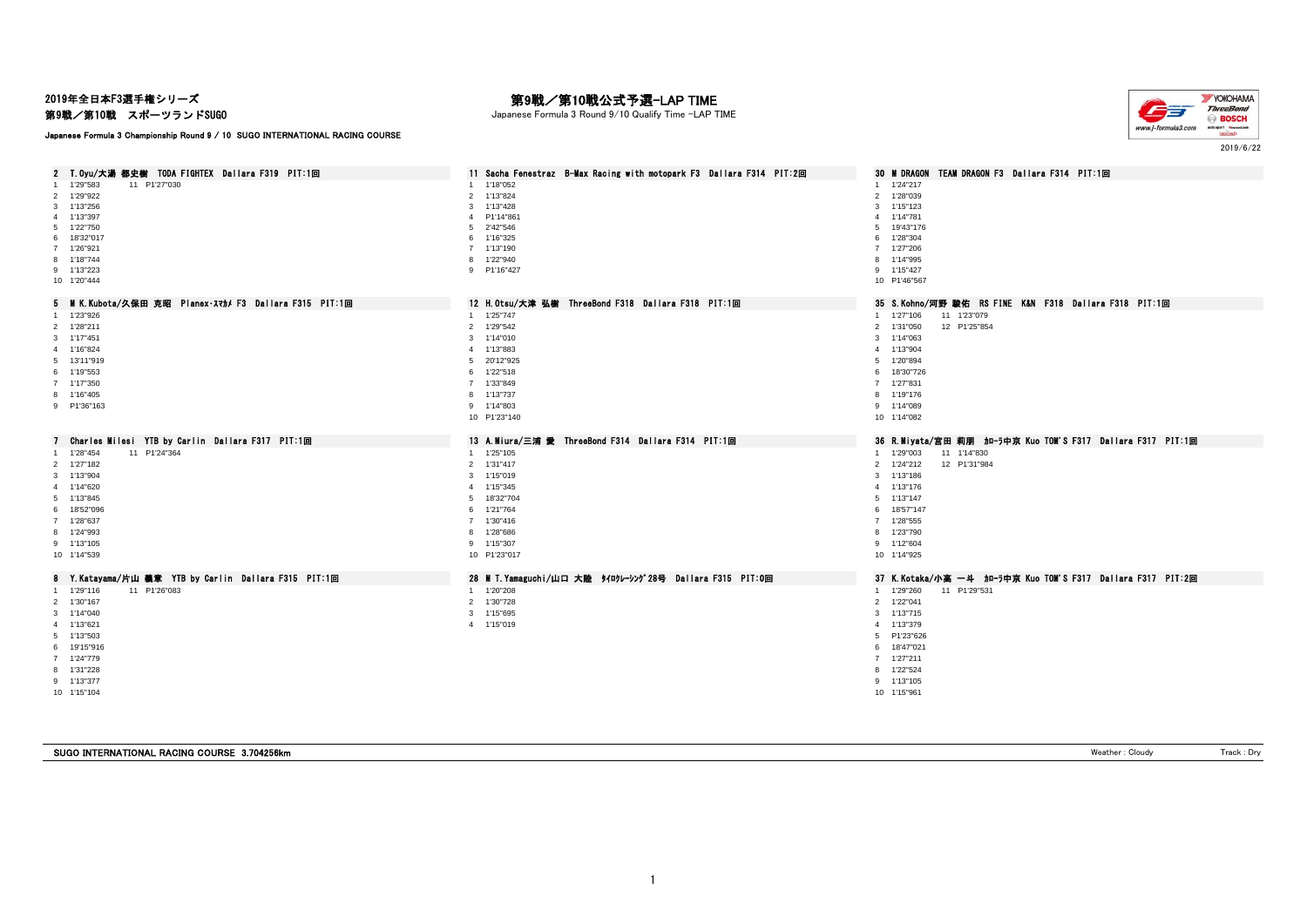2019年全日本F3選手権シリーズ

### 第9戦/第10戦 スポーツランドSUGO

Japanese Formula 3 Championship Round 9 / 10 SUGO INTERNATIONAL RACING COURSE

# 第9戦/第10戦公式予選-LAP TIME

Japanese Formula 3 Round 9/10 Qualify Time -LAP TIME



2019/6/22

| 2 T.Oyu/大湯 都史樹 TODA FIGHTEX Dallara F319 PIT:1回        | 11 Sacha Fenestraz B-Max Racing with motopark F3 Dallara F314 PIT:2回 | 30 M DRAGON TEAM DRAGON F3 Dallara F314 PIT:1回             |
|--------------------------------------------------------|----------------------------------------------------------------------|------------------------------------------------------------|
| 1 1'29"583<br>11 P1'27"030                             | 1 1'18"052                                                           | 1 1'24"217                                                 |
| 2 1'29"922                                             | 2 1'13"824                                                           | 2 1'28"039                                                 |
| 3 1'13"256                                             | 3 1'13"428                                                           | 3 1'15"123                                                 |
| 4 1'13"397                                             | 4 P1'14"861                                                          | 4 1'14"781                                                 |
| 5 1'22"750                                             | 5 2'42"546                                                           | 5 19'43"176                                                |
| 6 18'32"017                                            | 6 1'16"325                                                           | 6 1'28"304                                                 |
| 7 1'26"921                                             | 7 1'13"190                                                           | 7 1'27"206                                                 |
| 8 1'18"744                                             | 8 1'22"940                                                           | 8 1'14"995                                                 |
| 9 1'13"223                                             | 9 P1'16"427                                                          | 9 1'15"427                                                 |
| 10 1'20"444                                            |                                                                      | 10 P1'46"567                                               |
| 5 MK. Kubota/久保田 克昭 Planex スマカメ F3 Dallara F315 PIT:1回 | 12 H.Otsu/大津 弘樹 ThreeBond F318 Dallara F318 PIT:1回                   | 35 S.Kohno/河野 駿佑 RS FINE K&N F318 Dallara F318 PIT:1回      |
| 1 1'23"926                                             | 1 1'25"747                                                           | 1 1'27"106<br>11 1'23"079                                  |
| 2 1'28"211                                             | 2 1'29"542                                                           | 2 1'31"050<br>12 P1'25"854                                 |
| 3 1'17"451                                             | 3 1'14"010                                                           | 3 1'14"063                                                 |
| 4 1'16"824                                             |                                                                      | 4 1'13"904                                                 |
|                                                        | 4 1'13"883                                                           |                                                            |
| 5 13'11"919                                            | 5 20'12"925                                                          | 5 1'20"894                                                 |
| 6 1'19"553                                             | 6 1'22"518                                                           | 6 18'30"726                                                |
| 7 1'17"350                                             | 7 1'33"849                                                           | 7 1'27"831                                                 |
| 8 1'16"405                                             | 8 1'13"737                                                           | 8 1'19"176                                                 |
| 9 P1'36"163                                            | 9 1'14"803                                                           | 9 1'14"089                                                 |
|                                                        | 10 P1'23"140                                                         | 10 1'14"082                                                |
| Charles Milesi YTB by Carlin Dallara F317 PIT:1回<br>7  | 13 A.Miura/三浦 愛 ThreeBond F314 Dallara F314 PIT:1回                   | 36 R.Miyata/宮田 莉朋 加-ラ中京 Kuo TOM'S F317 Dallara F317 PIT:1回 |
|                                                        |                                                                      |                                                            |
|                                                        |                                                                      | $\overline{1}$                                             |
| 11 P1'24"364<br>1  1'28"454                            | 1 1'25"105                                                           | 1'29"003<br>11 1'14"830                                    |
| 2 1'27"182                                             | 2 1'31"417                                                           | 12 P1'31"984<br>2 1'24"212                                 |
| 3 1'13"904                                             | 3 1'15"019                                                           | 3 1'13"186                                                 |
| 4 1'14"620                                             | 4 1'15"345                                                           | 4 1'13"176                                                 |
| 5 1'13"845                                             | 5 18'32"704                                                          | 5 1'13"147                                                 |
| 6 18'52"096                                            | 6 1'21"764                                                           | 6 18'57"147                                                |
| 7 1'28"637                                             | 7 1'30"416                                                           | 7 1'28"555                                                 |
| 8 1'24"993                                             | 8 1'28"686                                                           | 8 1'23"790                                                 |
| 9 1'13"105                                             | 9 1'15"307                                                           | 9 1'12"604                                                 |
| 10 1'14"539                                            | 10 P1'23"017                                                         | 10 1'14"925                                                |
| 8 Y.Katayama/片山 義章 YTB by Carlin Dallara F315 PIT:1回   | 28 M T. Yamaguchi/山口 大陸 タイロクレーシング28号 Dallara F315 PIT:0回             | 37 K.Kotaka/小高 一斗 加一ラ中京 Kuo TOM'S F317 Dallara F317 PIT:2回 |
| 1 1'29"116<br>11 P1'26"083                             | 1 1'20"208                                                           | 1 1'29"260<br>11 P1'29"531                                 |
| 2 1'30"167                                             | 2 1'30"728                                                           | 2 1'22"041                                                 |
|                                                        |                                                                      |                                                            |
| 3 1'14"040                                             | 3 1'15"695                                                           | 3 1'13"715                                                 |
| 4 1'13"621                                             | 4 1'15"019                                                           | 4 1'13"379                                                 |
| 5 1'13"503                                             |                                                                      | 5 P1'23"626                                                |
| 6 19'15"916                                            |                                                                      | 6 18'47"021                                                |
| 7 1'24"779                                             |                                                                      | 7 1'27"211                                                 |
| 8 1'31"228                                             |                                                                      | 8 1'22"524                                                 |
| 9 1'13"377                                             |                                                                      | 9 1'13"105                                                 |
| 10 1'15"104                                            |                                                                      | 10 1'15"961                                                |